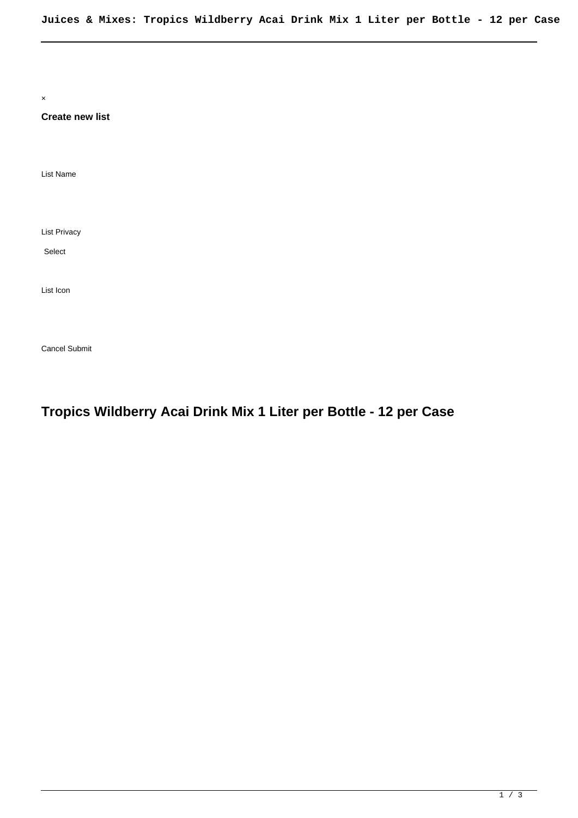× **Create new list** List Name List Privacy List Icon Select

Cancel Submit

## **Tropics Wildberry Acai Drink Mix 1 Liter per Bottle - 12 per Case**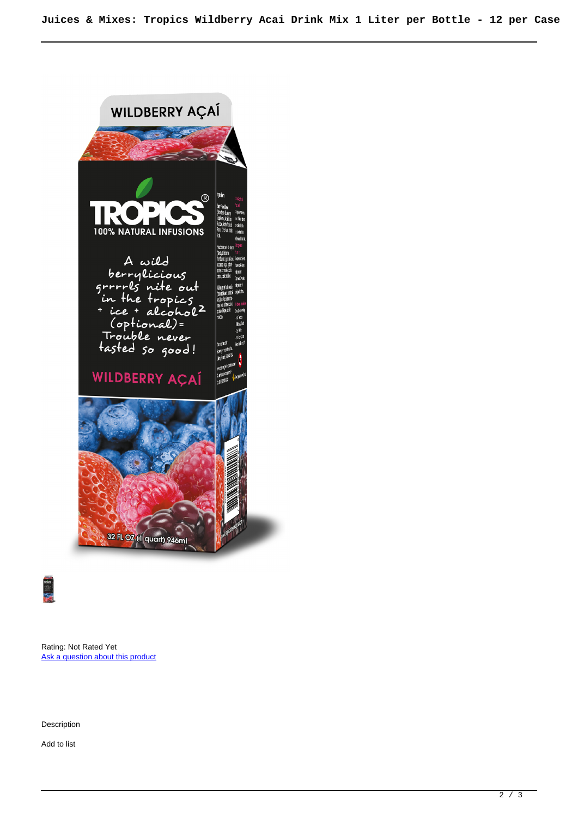



Rating: Not Rated Yet [Ask a question about this product](https://www.summitenterprises.net/index.php?option=com_virtuemart&view=productdetails&task=askquestion&virtuemart_product_id=761&virtuemart_category_id=103&tmpl=component)

Description

Add to list